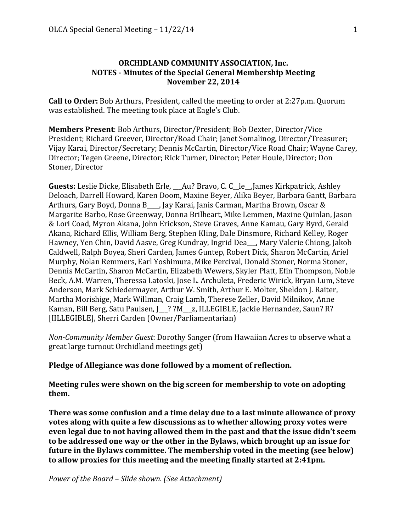# **ORCHIDLAND COMMUNITY ASSOCIATION, Inc. NOTES** - Minutes of the Special General Membership Meeting **November 22, 2014**

**Call to Order:** Bob Arthurs, President, called the meeting to order at 2:27p.m. Quorum was established. The meeting took place at Eagle's Club.

**Members Present**: Bob Arthurs, Director/President; Bob Dexter, Director/Vice President; Richard Greever, Director/Road Chair; Janet Somalinog, Director/Treasurer; Vijay Karai, Director/Secretary; Dennis McCartin, Director/Vice Road Chair; Wayne Carey, Director; Tegen Greene, Director; Rick Turner, Director; Peter Houle, Director; Don Stoner, Director

**Guests:** Leslie Dicke, Elisabeth Erle, \_\_Au? Bravo, C. C\_le\_,James Kirkpatrick, Ashley Deloach, Darrell Howard, Karen Doom, Maxine Beyer, Alika Beyer, Barbara Gantt, Barbara Arthurs, Gary Boyd, Donna B., Jay Karai, Janis Carman, Martha Brown, Oscar & Margarite Barbo, Rose Greenway, Donna Brilheart, Mike Lemmen, Maxine Quinlan, Jason & Lori Coad, Myron Akana, John Erickson, Steve Graves, Anne Kamau, Gary Byrd, Gerald Akana, Richard Ellis, William Berg, Stephen Kling, Dale Dinsmore, Richard Kelley, Roger Hawney, Yen Chin, David Aasve, Greg Kundray, Ingrid Dea\_\_, Mary Valerie Chiong, Jakob Caldwell, Ralph Boyea, Sheri Carden, James Guntep, Robert Dick, Sharon McCartin, Ariel Murphy, Nolan Remmers, Earl Yoshimura, Mike Percival, Donald Stoner, Norma Stoner, Dennis McCartin, Sharon McCartin, Elizabeth Wewers, Skyler Platt, Efin Thompson, Noble Beck, A.M. Warren, Theressa Latoski, Jose L. Archuleta, Frederic Wirick, Bryan Lum, Steve Anderson, Mark Schiedermayer, Arthur W. Smith, Arthur E. Molter, Sheldon J. Raiter, Martha Morishige, Mark Willman, Craig Lamb, Therese Zeller, David Milnikov, Anne Kaman, Bill Berg, Satu Paulsen, J. ? ?M\_\_\_z, ILLEGIBLE, Jackie Hernandez, Saun? R? [IILLEGIBLE], Sherri Carden (Owner/Parliamentarian)

*Non-Community Member Guest: Dorothy Sanger* (from Hawaiian Acres to observe what a great large turnout Orchidland meetings get)

Pledge of Allegiance was done followed by a moment of reflection.

**Meeting rules were shown on the big screen for membership to vote on adopting** them.

**There was some confusion and a time delay due to a last minute allowance of proxy votes along with quite a few discussions as to whether allowing proxy votes were** even legal due to not having allowed them in the past and that the issue didn't seem to be addressed one way or the other in the Bylaws, which brought up an issue for future in the Bylaws committee. The membership voted in the meeting (see below) to allow proxies for this meeting and the meeting finally started at 2:41pm.

*Power of the Board - Slide shown.* (See Attachment)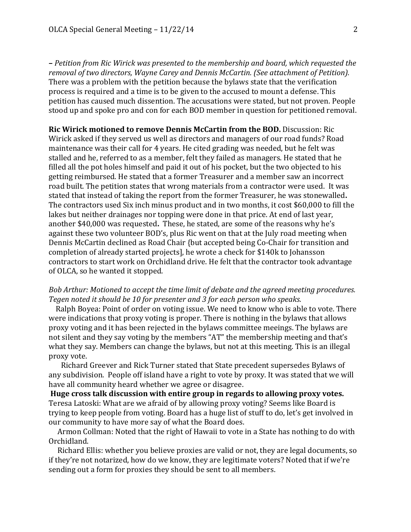**–** *Petition from Ric Wirick was presented to the membership and board, which requested the removal of two directors, Wayne Carey and Dennis McCartin. (See attachment of Petition).* There was a problem with the petition because the bylaws state that the verification process is required and a time is to be given to the accused to mount a defense. This petition has caused much dissention. The accusations were stated, but not proven. People stood up and spoke pro and con for each BOD member in question for petitioned removal.

**Ric Wirick motioned to remove Dennis McCartin from the BOD.** Discussion: Ric Wirick asked if they served us well as directors and managers of our road funds? Road maintenance was their call for 4 years. He cited grading was needed, but he felt was stalled and he, referred to as a member, felt they failed as managers. He stated that he filled all the pot holes himself and paid it out of his pocket, but the two objected to his getting reimbursed. He stated that a former Treasurer and a member saw an incorrect road built. The petition states that wrong materials from a contractor were used. It was stated that instead of taking the report from the former Treasurer, he was stonewalled. The contractors used Six inch minus product and in two months, it cost \$60,000 to fill the lakes but neither drainages nor topping were done in that price. At end of last year, another \$40,000 was requested. These, he stated, are some of the reasons why he's against these two volunteer BOD's, plus Ric went on that at the July road meeting when Dennis McCartin declined as Road Chair {but accepted being Co-Chair for transition and completion of already started projects], he wrote a check for \$140k to Johansson contractors to start work on Orchidland drive. He felt that the contractor took advantage of OLCA, so he wanted it stopped.

## *Bob Arthur: Motioned to accept the time limit of debate and the agreed meeting procedures.* Tegen noted it should be 10 for presenter and 3 for each person who speaks.

Ralph Boyea: Point of order on voting issue. We need to know who is able to vote. There were indications that proxy voting is proper. There is nothing in the bylaws that allows proxy voting and it has been rejected in the bylaws committee meeings. The bylaws are not silent and they say voting by the members "AT" the membership meeting and that's what they say. Members can change the bylaws, but not at this meeting. This is an illegal proxy vote.

Richard Greever and Rick Turner stated that State precedent supersedes Bylaws of any subdivision. People off island have a right to vote by proxy. It was stated that we will have all community heard whether we agree or disagree.

**Huge cross talk discussion with entire group in regards to allowing proxy votes.** Teresa Latoski: What are we afraid of by allowing proxy voting? Seems like Board is trying to keep people from voting. Board has a huge list of stuff to do, let's get involved in our community to have more say of what the Board does.

Armon Collman: Noted that the right of Hawaii to vote in a State has nothing to do with Orchidland.

Richard Ellis: whether you believe proxies are valid or not, they are legal documents, so if they're not notarized, how do we know, they are legitimate voters? Noted that if we're sending out a form for proxies they should be sent to all members.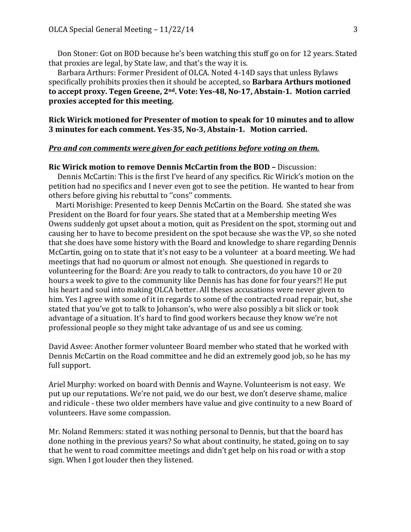Don Stoner: Got on BOD because he's been watching this stuff go on for 12 years. Stated that proxies are legal, by State law, and that's the way it is.

Barbara Arthurs: Former President of OLCA. Noted 4-14D says that unless Bylaws specifically prohibits proxies then it should be accepted, so **Barbara Arthurs motioned** to accept proxy. Tegen Greene, 2<sup>nd</sup>. Vote: Yes-48, No-17, Abstain-1. Motion carried proxies accepted for this meeting.

**Rick Wirick motioned for Presenter of motion to speak for 10 minutes and to allow 3** minutes for each comment. Yes-35, No-3, Abstain-1. Motion carried.

### *Pro and con comments were given for each petitions before voting on them.*

#### **Ric Wirick motion to remove Dennis McCartin from the BOD – Discussion:**

Dennis McCartin: This is the first I've heard of any specifics. Ric Wirick's motion on the petition had no specifics and I never even got to see the petition. He wanted to hear from others before giving his rebuttal to "cons" comments.

Marti Morishige: Presented to keep Dennis McCartin on the Board. She stated she was President on the Board for four years. She stated that at a Membership meeting Wes Owens suddenly got upset about a motion, quit as President on the spot, storming out and causing her to have to become president on the spot because she was the VP, so she noted that she does have some history with the Board and knowledge to share regarding Dennis McCartin, going on to state that it's not easy to be a volunteer at a board meeting. We had meetings that had no quorum or almost not enough. She questioned in regards to volunteering for the Board: Are you ready to talk to contractors, do you have 10 or 20 hours a week to give to the community like Dennis has has done for four years?! He put his heart and soul into making OLCA better. All theses accusations were never given to him. Yes I agree with some of it in regards to some of the contracted road repair, but, she stated that you've got to talk to Johanson's, who were also possibly a bit slick or took advantage of a situation. It's hard to find good workers because they know we're not professional people so they might take advantage of us and see us coming.

David Asvee: Another former volunteer Board member who stated that he worked with Dennis McCartin on the Road committee and he did an extremely good job, so he has my full support.

Ariel Murphy: worked on board with Dennis and Wayne. Volunteerism is not easy. We put up our reputations. We're not paid, we do our best, we don't deserve shame, malice and ridicule - these two older members have value and give continuity to a new Board of volunteers. Have some compassion.

Mr. Noland Remmers: stated it was nothing personal to Dennis, but that the board has done nothing in the previous years? So what about continuity, he stated, going on to say that he went to road committee meetings and didn't get help on his road or with a stop sign. When I got louder then they listened.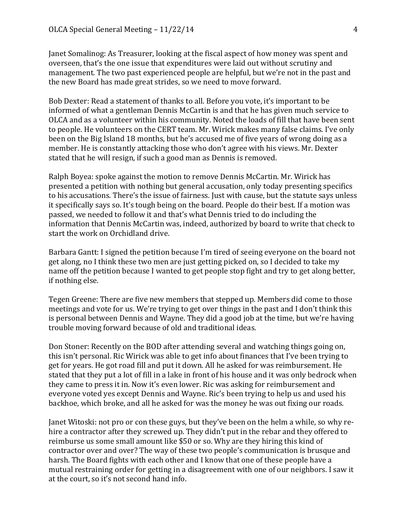Janet Somalinog: As Treasurer, looking at the fiscal aspect of how money was spent and overseen, that's the one issue that expenditures were laid out without scrutiny and management. The two past experienced people are helpful, but we're not in the past and the new Board has made great strides, so we need to move forward.

Bob Dexter: Read a statement of thanks to all. Before you vote, it's important to be informed of what a gentleman Dennis McCartin is and that he has given much service to OLCA and as a volunteer within his community. Noted the loads of fill that have been sent to people. He volunteers on the CERT team. Mr. Wirick makes many false claims. I've only been on the Big Island 18 months, but he's accused me of five years of wrong doing as a member. He is constantly attacking those who don't agree with his views. Mr. Dexter stated that he will resign, if such a good man as Dennis is removed.

Ralph Boyea: spoke against the motion to remove Dennis McCartin. Mr. Wirick has presented a petition with nothing but general accusation, only today presenting specifics to his accusations. There's the issue of fairness. Just with cause, but the statute says unless it specifically says so. It's tough being on the board. People do their best. If a motion was passed, we needed to follow it and that's what Dennis tried to do including the information that Dennis McCartin was, indeed, authorized by board to write that check to start the work on Orchidland drive.

Barbara Gantt: I signed the petition because I'm tired of seeing everyone on the board not get along, no I think these two men are just getting picked on, so I decided to take my name off the petition because I wanted to get people stop fight and try to get along better, if nothing else.

Tegen Greene: There are five new members that stepped up. Members did come to those meetings and vote for us. We're trying to get over things in the past and I don't think this is personal between Dennis and Wayne. They did a good job at the time, but we're having trouble moving forward because of old and traditional ideas.

Don Stoner: Recently on the BOD after attending several and watching things going on, this isn't personal. Ric Wirick was able to get info about finances that I've been trying to get for years. He got road fill and put it down. All he asked for was reimbursement. He stated that they put a lot of fill in a lake in front of his house and it was only bedrock when they came to press it in. Now it's even lower. Ric was asking for reimbursement and everyone voted yes except Dennis and Wayne. Ric's been trying to help us and used his backhoe, which broke, and all he asked for was the money he was out fixing our roads.

Janet Witoski: not pro or con these guys, but they've been on the helm a while, so why rehire a contractor after they screwed up. They didn't put in the rebar and they offered to reimburse us some small amount like \$50 or so. Why are they hiring this kind of contractor over and over? The way of these two people's communication is brusque and harsh. The Board fights with each other and I know that one of these people have a mutual restraining order for getting in a disagreement with one of our neighbors. I saw it at the court, so it's not second hand info.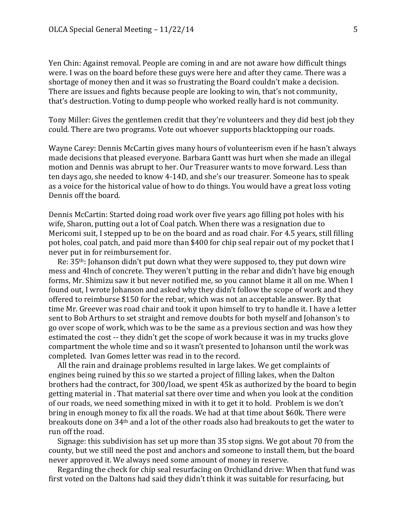Yen Chin: Against removal. People are coming in and are not aware how difficult things were. I was on the board before these guys were here and after they came. There was a shortage of money then and it was so frustrating the Board couldn't make a decision. There are issues and fights because people are looking to win, that's not community, that's destruction. Voting to dump people who worked really hard is not community.

Tony Miller: Gives the gentlemen credit that they're volunteers and they did best job they could. There are two programs. Vote out whoever supports blacktopping our roads.

Wayne Carey: Dennis McCartin gives many hours of volunteerism even if he hasn't always made decisions that pleased everyone. Barbara Gantt was hurt when she made an illegal motion and Dennis was abrupt to her. Our Treasurer wants to move forward. Less than ten days ago, she needed to know 4-14D, and she's our treasurer. Someone has to speak as a voice for the historical value of how to do things. You would have a great loss voting Dennis off the board.

Dennis McCartin: Started doing road work over five years ago filling pot holes with his wife, Sharon, putting out a lot of Coal patch. When there was a resignation due to Mericomi suit, I stepped up to be on the board and as road chair. For 4.5 years, still filling pot holes, coal patch, and paid more than \$400 for chip seal repair out of my pocket that I never put in for reimbursement for.

Re:  $35<sup>th</sup>$ : Johanson didn't put down what they were supposed to, they put down wire mess and 4Inch of concrete. They weren't putting in the rebar and didn't have big enough forms, Mr. Shimizu saw it but never notified me, so you cannot blame it all on me. When I found out, I wrote Johanson and asked why they didn't follow the scope of work and they offered to reimburse \$150 for the rebar, which was not an acceptable answer. By that time Mr. Greever was road chair and took it upon himself to try to handle it. I have a letter sent to Bob Arthurs to set straight and remove doubts for both myself and Johanson's to go over scope of work, which was to be the same as a previous section and was how they estimated the cost -- they didn't get the scope of work because it was in my trucks glove compartment the whole time and so it wasn't presented to Johanson until the work was completed. Ivan Gomes letter was read in to the record.

All the rain and drainage problems resulted in large lakes. We get complaints of engines being ruined by this so we started a project of filling lakes, when the Dalton brothers had the contract, for 300/load, we spent 45k as authorized by the board to begin getting material in. That material sat there over time and when you look at the condition of our roads, we need something mixed in with it to get it to hold. Problem is we don't bring in enough money to fix all the roads. We had at that time about \$60k. There were breakouts done on  $34<sup>th</sup>$  and a lot of the other roads also had breakouts to get the water to run off the road.

Signage: this subdivision has set up more than  $35$  stop signs. We got about  $70$  from the county, but we still need the post and anchors and someone to install them, but the board never approved it. We always need some amount of money in reserve.

Regarding the check for chip seal resurfacing on Orchidland drive: When that fund was first voted on the Daltons had said they didn't think it was suitable for resurfacing, but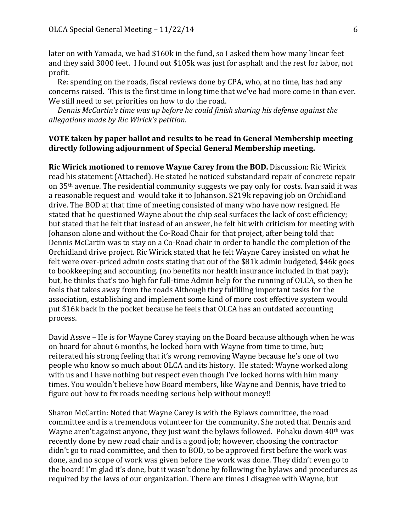later on with Yamada, we had \$160k in the fund, so I asked them how many linear feet and they said 3000 feet. I found out \$105k was just for asphalt and the rest for labor, not profit. 

Re: spending on the roads, fiscal reviews done by CPA, who, at no time, has had any concerns raised. This is the first time in long time that we've had more come in than ever. We still need to set priorities on how to do the road.

*Dennis McCartin's time was up before he could finish sharing his defense against the allegations made by Ric Wirick's petition.*

### **VOTE** taken by paper ballot and results to be read in General Membership meeting directly following adjournment of Special General Membership meeting.

**Ric Wirick motioned to remove Wayne Carey from the BOD.** Discussion: Ric Wirick read his statement (Attached). He stated he noticed substandard repair of concrete repair on 35<sup>th</sup> avenue. The residential community suggests we pay only for costs. Ivan said it was a reasonable request and would take it to Johanson. \$219k repaving job on Orchidland drive. The BOD at that time of meeting consisted of many who have now resigned. He stated that he questioned Wayne about the chip seal surfaces the lack of cost efficiency; but stated that he felt that instead of an answer, he felt hit with criticism for meeting with Johanson alone and without the Co-Road Chair for that project, after being told that Dennis McCartin was to stay on a Co-Road chair in order to handle the completion of the Orchidland drive project. Ric Wirick stated that he felt Wayne Carey insisted on what he felt were over-priced admin costs stating that out of the \$81k admin budgeted, \$46k goes to bookkeeping and accounting. (no benefits nor health insurance included in that pay); but, he thinks that's too high for full-time Admin help for the running of OLCA, so then he feels that takes away from the roads Although they fulfilling important tasks for the association, establishing and implement some kind of more cost effective system would put \$16k back in the pocket because he feels that OLCA has an outdated accounting process. 

David Assve – He is for Wayne Carey staying on the Board because although when he was on board for about 6 months, he locked horn with Wayne from time to time, but; reiterated his strong feeling that it's wrong removing Wayne because he's one of two people who know so much about OLCA and its history. He stated: Wayne worked along with us and I have nothing but respect even though I've locked horns with him many times. You wouldn't believe how Board members, like Wayne and Dennis, have tried to figure out how to fix roads needing serious help without money!!

Sharon McCartin: Noted that Wayne Carey is with the Bylaws committee, the road committee and is a tremendous volunteer for the community. She noted that Dennis and Wayne aren't against anyone, they just want the bylaws followed. Pohaku down  $40<sup>th</sup>$  was recently done by new road chair and is a good job; however, choosing the contractor didn't go to road committee, and then to BOD, to be approved first before the work was done, and no scope of work was given before the work was done. They didn't even go to the board! I'm glad it's done, but it wasn't done by following the bylaws and procedures as required by the laws of our organization. There are times I disagree with Wayne, but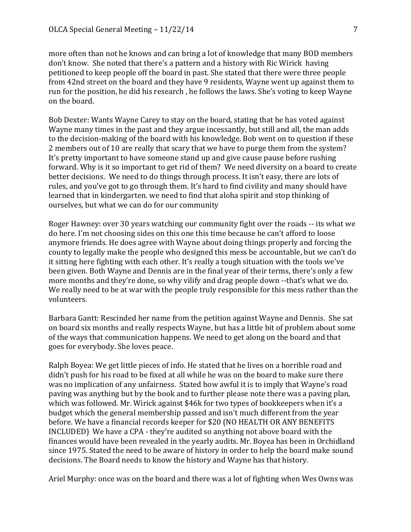more often than not he knows and can bring a lot of knowledge that many BOD members don't know. She noted that there's a pattern and a history with Ric Wirick having petitioned to keep people off the board in past. She stated that there were three people from 42nd street on the board and they have 9 residents, Wayne went up against them to run for the position, he did his research, he follows the laws. She's voting to keep Wayne on the board.

Bob Dexter: Wants Wayne Carey to stay on the board, stating that he has voted against Wayne many times in the past and they argue incessantly, but still and all, the man adds to the decision-making of the board with his knowledge. Bob went on to question if these 2 members out of 10 are really that scary that we have to purge them from the system? It's pretty important to have someone stand up and give cause pause before rushing forward. Why is it so important to get rid of them? We need diversity on a board to create better decisions. We need to do things through process. It isn't easy, there are lots of rules, and you've got to go through them. It's hard to find civility and many should have learned that in kindergarten. we need to find that aloha spirit and stop thinking of ourselves, but what we can do for our community

Roger Hawney: over 30 years watching our community fight over the roads -- its what we do here. I'm not choosing sides on this one this time because he can't afford to loose anymore friends. He does agree with Wayne about doing things properly and forcing the county to legally make the people who designed this mess be accountable, but we can't do it sitting here fighting with each other. It's really a tough situation with the tools we've been given. Both Wayne and Dennis are in the final year of their terms, there's only a few more months and they're done, so why vilify and drag people down --that's what we do. We really need to be at war with the people truly responsible for this mess rather than the volunteers. 

Barbara Gantt: Rescinded her name from the petition against Wayne and Dennis. She sat on board six months and really respects Wayne, but has a little bit of problem about some of the ways that communication happens. We need to get along on the board and that goes for everybody. She loves peace.

Ralph Boyea: We get little pieces of info. He stated that he lives on a horrible road and didn't push for his road to be fixed at all while he was on the board to make sure there was no implication of any unfairness. Stated how awful it is to imply that Wayne's road paving was anything but by the book and to further please note there was a paving plan, which was followed. Mr. Wirick against \$46k for two types of bookkeepers when it's a budget which the general membership passed and isn't much different from the year before. We have a financial records keeper for \$20 (NO HEALTH OR ANY BENEFITS INCLUDED) We have a CPA - they're audited so anything not above board with the finances would have been revealed in the yearly audits. Mr. Boyea has been in Orchidland since 1975. Stated the need to be aware of history in order to help the board make sound decisions. The Board needs to know the history and Wayne has that history.

Ariel Murphy: once was on the board and there was a lot of fighting when Wes Owns was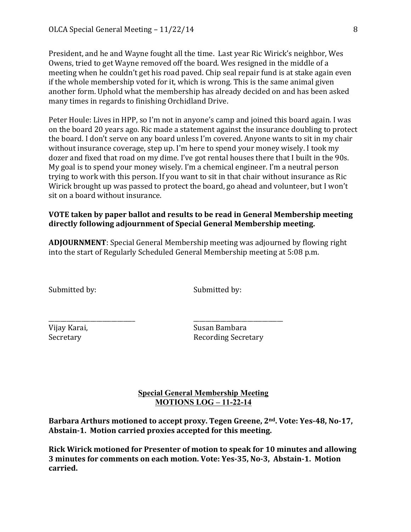President, and he and Wayne fought all the time. Last year Ric Wirick's neighbor, Wes Owens, tried to get Wayne removed off the board. Wes resigned in the middle of a meeting when he couldn't get his road paved. Chip seal repair fund is at stake again even if the whole membership voted for it, which is wrong. This is the same animal given another form. Uphold what the membership has already decided on and has been asked many times in regards to finishing Orchidland Drive.

Peter Houle: Lives in HPP, so I'm not in anyone's camp and joined this board again. I was on the board 20 years ago. Ric made a statement against the insurance doubling to protect the board. I don't serve on any board unless I'm covered. Anyone wants to sit in my chair without insurance coverage, step up. I'm here to spend your money wisely. I took my dozer and fixed that road on my dime. I've got rental houses there that I built in the 90s. My goal is to spend your money wisely. I'm a chemical engineer. I'm a neutral person trying to work with this person. If you want to sit in that chair without insurance as Ric Wirick brought up was passed to protect the board, go ahead and volunteer, but I won't sit on a board without insurance.

## **VOTE** taken by paper ballot and results to be read in General Membership meeting directly following adjournment of Special General Membership meeting.

**ADJOURNMENT**: Special General Membership meeting was adjourned by flowing right into the start of Regularly Scheduled General Membership meeting at 5:08 p.m.

\_\_\_\_\_\_\_\_\_\_\_\_\_\_\_\_\_\_\_\_\_\_\_\_\_\_\_\_\_ \_\_\_\_\_\_\_\_\_\_\_\_\_\_\_\_\_\_\_\_\_\_\_\_\_\_\_\_\_\_

Submitted by: Submitted by:

Vijay Karai, Susan Bambara Secretary **Recording Secretary** 

# **Special General Membership Meeting MOTIONS LOG – 11-22-14**

Barbara Arthurs motioned to accept proxy. Tegen Greene, 2<sup>nd</sup>. Vote: Yes-48, No-17, Abstain-1. Motion carried proxies accepted for this meeting.

**Rick Wirick motioned for Presenter of motion to speak for 10 minutes and allowing 3** minutes for comments on each motion. Vote: Yes-35, No-3, Abstain-1. Motion **carried.**